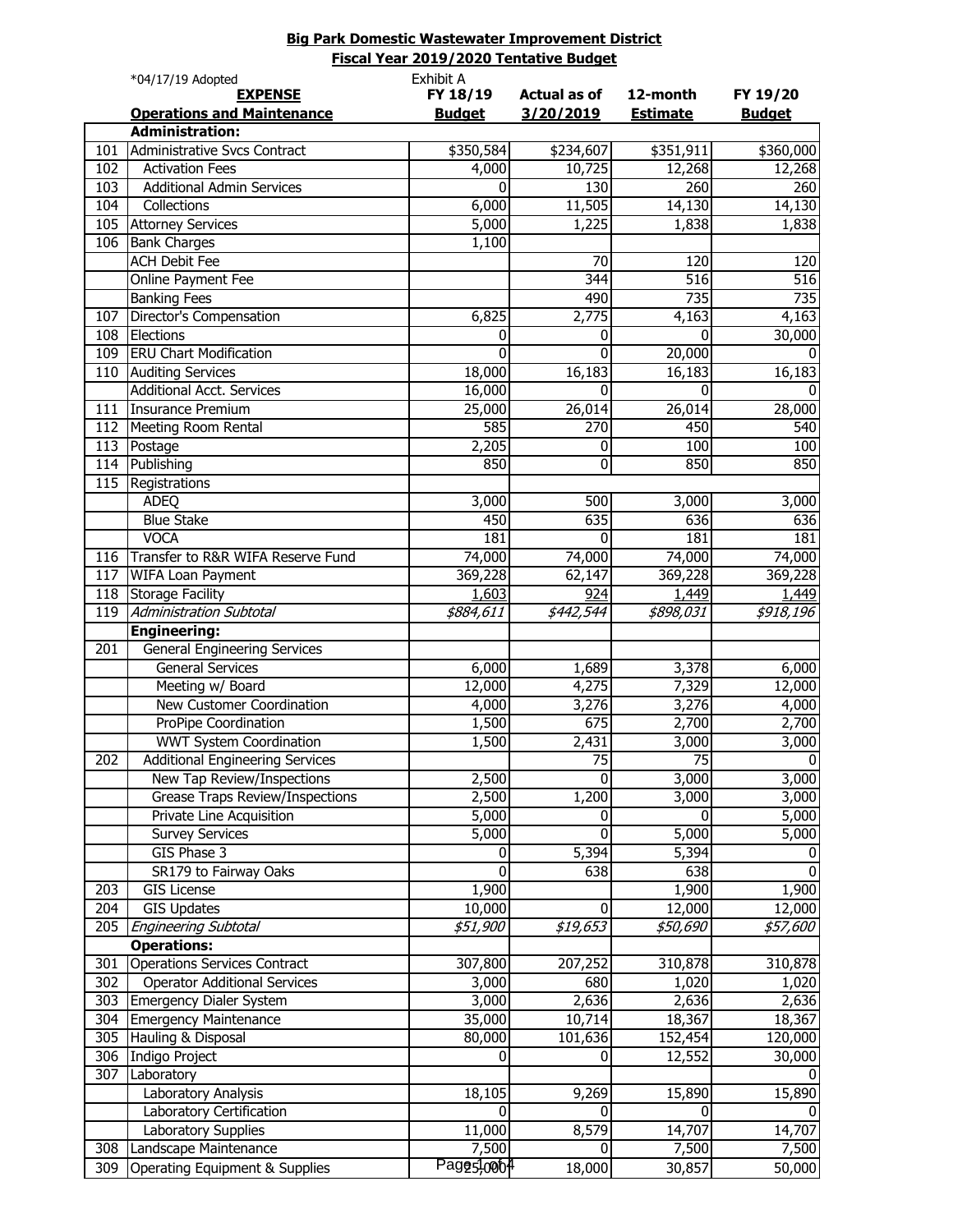|                  | Fiscal Year 2019/2020 Tentative Budget |                        |                     |                 |                    |  |
|------------------|----------------------------------------|------------------------|---------------------|-----------------|--------------------|--|
|                  | *04/17/19 Adopted                      | Exhibit A              |                     |                 |                    |  |
|                  | <b>EXPENSE</b>                         | FY 18/19               | <b>Actual as of</b> | 12-month        | FY 19/20           |  |
|                  | <b>Operations and Maintenance</b>      | <b>Budget</b>          | 3/20/2019           | <b>Estimate</b> | <b>Budget</b>      |  |
|                  | <b>Administration:</b>                 |                        |                     |                 |                    |  |
| 101              | Administrative Svcs Contract           | \$350,584              | \$234,607           | \$351,911       | \$360,000          |  |
| 102              | <b>Activation Fees</b>                 | 4,000                  | 10,725              | 12,268          | 12,268             |  |
| 103              | <b>Additional Admin Services</b>       | $\Omega$               | 130                 | 260             | 260                |  |
| 104              | Collections                            | 6,000                  | 11,505              | 14,130          | 14,130             |  |
| 105              | <b>Attorney Services</b>               | 5,000                  | 1,225               | 1,838           | 1,838              |  |
| 106              | <b>Bank Charges</b>                    | 1,100                  |                     |                 |                    |  |
|                  | <b>ACH Debit Fee</b>                   |                        | 70                  | 120             | 120                |  |
|                  | Online Payment Fee                     |                        | $\overline{344}$    | 516             | 516                |  |
|                  | <b>Banking Fees</b>                    |                        | 490                 | 735             | 735                |  |
| 107              | Director's Compensation                | 6,825                  | 2,775               | 4,163           | 4,163              |  |
| 108              | Elections                              | 0                      | $\bf{0}$            | $\Omega$        | 30,000             |  |
| 109              | <b>ERU Chart Modification</b>          | 0                      | $\mathbf 0$         | 20,000          | 0                  |  |
| 110              | <b>Auditing Services</b>               | 18,000                 | 16,183              | 16,183          | 16,183             |  |
|                  | <b>Additional Acct. Services</b>       | 16,000                 | 0                   | $\Omega$        | <sup>0</sup>       |  |
| 111              | <b>Insurance Premium</b>               | 25,000                 | 26,014              | 26,014          | 28,000             |  |
| 112              | Meeting Room Rental                    | 585                    | 270                 | 450             | 540                |  |
| 113              | Postage                                | 2,205                  | 0                   | 100             | 100                |  |
| 114              | Publishing                             | 850                    | 0                   | 850             | 850                |  |
| 115              | Registrations                          |                        |                     |                 |                    |  |
|                  | <b>ADEQ</b>                            | 3,000                  | 500                 | 3,000           | 3,000              |  |
|                  | <b>Blue Stake</b>                      | 450                    | 635                 | 636             | 636                |  |
|                  | <b>VOCA</b>                            | 181                    | 0                   | 181             | 181                |  |
| 116              | Transfer to R&R WIFA Reserve Fund      | 74,000                 | 74,000              | 74,000          | 74,000             |  |
| 117              | WIFA Loan Payment                      | 369,228                | 62,147              | 369,228         | 369,228            |  |
| 118              | <b>Storage Facility</b>                | 1,603                  | 924                 | 1,449           | 1,449              |  |
| 119              | <b>Administration Subtotal</b>         | \$884,611              | \$442,544           | \$898,031       | \$918,196          |  |
|                  | <b>Engineering:</b>                    |                        |                     |                 |                    |  |
| 201              | <b>General Engineering Services</b>    |                        |                     |                 |                    |  |
|                  | <b>General Services</b>                | 6,000                  | 1,689               | 3,378           | 6,000              |  |
|                  | Meeting w/ Board                       | 12,000                 | 4,275               | 7,329           | 12,000             |  |
|                  | New Customer Coordination              | 4,000                  | 3,276               | 3,276           | 4,000              |  |
|                  | ProPipe Coordination                   | 1,500                  | 675                 | 2,700           | 2,700              |  |
|                  | <b>WWT System Coordination</b>         | 1,500                  | $\overline{2,}431$  | 3,000           | 3,000              |  |
| $\overline{202}$ | <b>Additional Engineering Services</b> |                        | $\overline{75}$     | $\overline{75}$ | 0                  |  |
|                  | New Tap Review/Inspections             | 2,500                  | 0                   | 3,000           | 3,000              |  |
|                  | <b>Grease Traps Review/Inspections</b> | 2,500                  | 1,200               | 3,000           | 3,000              |  |
|                  | Private Line Acquisition               | 5,000                  | 0                   | 0               | $\overline{5,000}$ |  |
|                  | <b>Survey Services</b>                 | 5,000                  | $\mathbf{0}$        | 5,000           | 5,000              |  |
|                  | GIS Phase 3                            | 0                      | 5,394               | 5,394           | 0                  |  |
|                  | SR179 to Fairway Oaks                  | 0                      | 638                 | 638             | $\Omega$           |  |
| 203              | <b>GIS License</b>                     | 1,900                  |                     | 1,900           | 1,900              |  |
| $\overline{204}$ | <b>GIS Updates</b>                     | 10,000                 | 0                   | 12,000          | 12,000             |  |
| 205              | <b>Engineering Subtotal</b>            | \$51,900               | \$19,653            | \$50,690        | \$57,600           |  |
|                  | <b>Operations:</b>                     |                        |                     |                 |                    |  |
| 301              | <b>Operations Services Contract</b>    | 307,800                | 207,252             | 310,878         | 310,878            |  |
| 302              | <b>Operator Additional Services</b>    | 3,000                  | 680                 | 1,020           | 1,020              |  |
| 303              | <b>Emergency Dialer System</b>         | 3,000                  | 2,636               | 2,636           | 2,636              |  |
| 304              | <b>Emergency Maintenance</b>           | 35,000                 | 10,714              | 18,367          | 18,367             |  |
| 305              | Hauling & Disposal                     | 80,000                 | 101,636             | 152,454         | 120,000            |  |
| 306              | Indigo Project                         | n                      | 0                   | 12,552          | 30,000             |  |
| 307              | Laboratory                             |                        |                     |                 |                    |  |
|                  | Laboratory Analysis                    | 18,105                 | 9,269               | 15,890          | 15,890             |  |
|                  | Laboratory Certification               | $\Omega$               | $\Omega$            | 0               | $\Omega$           |  |
|                  | Laboratory Supplies                    | 11,000                 | 8,579               | 14,707          | 14,707             |  |
| 308              | Landscape Maintenance                  | 7,500                  | $\Omega$            | 7,500           | 7,500              |  |
| 309              | Operating Equipment & Supplies         | Pagg5,000 <sup>4</sup> | 18,000              | 30,857          | 50,000             |  |
|                  |                                        |                        |                     |                 |                    |  |

**Big Park Domestic Wastewater Improvement District**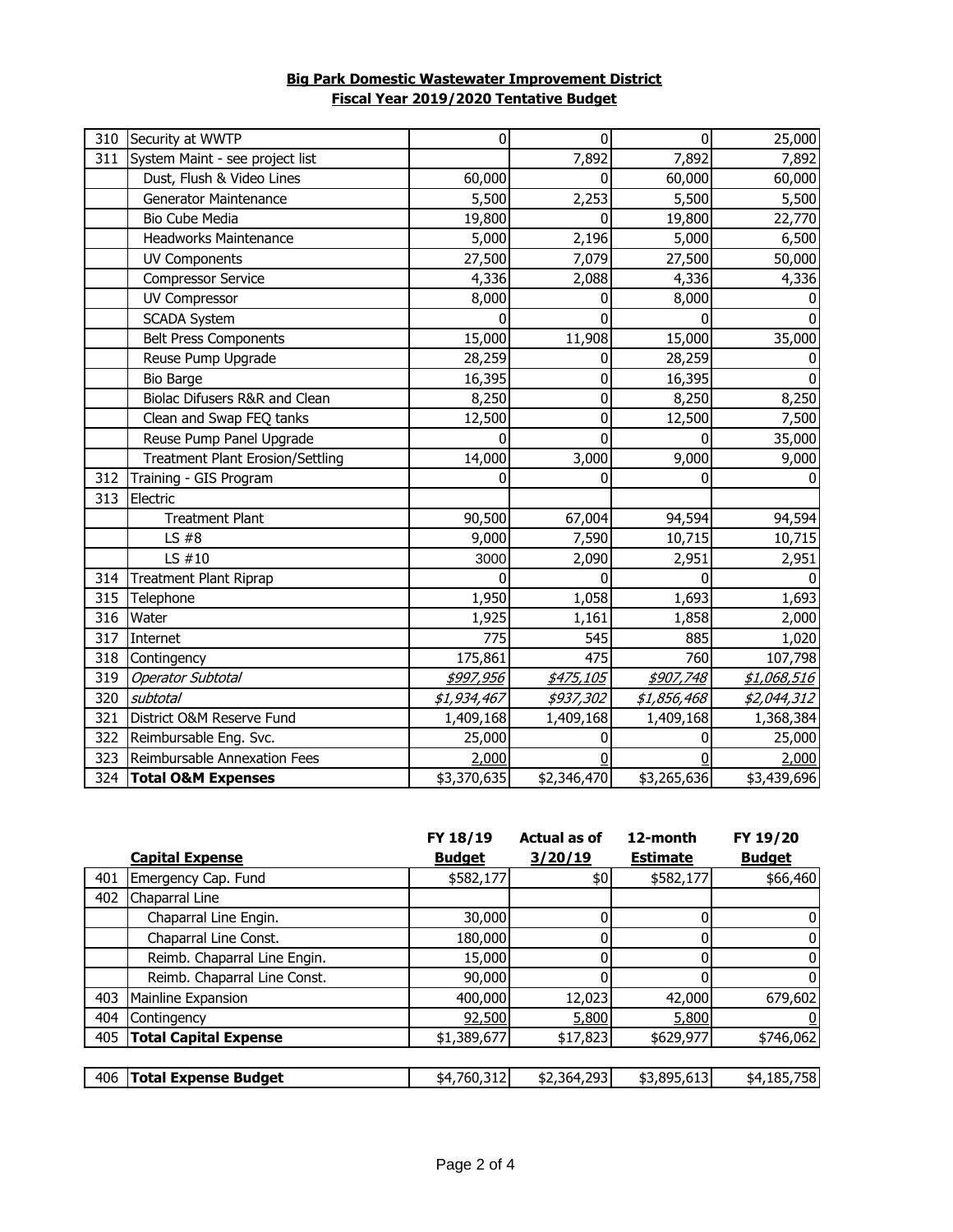# **Big Park Domestic Wastewater Improvement District Fiscal Year 2019/2020 Tentative Budget**

| 310 | Security at WWTP                        | 0           | $\mathbf{0}$ | 0           | 25,000       |
|-----|-----------------------------------------|-------------|--------------|-------------|--------------|
| 311 | System Maint - see project list         |             | 7,892        | 7,892       | 7,892        |
|     | Dust, Flush & Video Lines               | 60,000      | 0            | 60,000      | 60,000       |
|     | <b>Generator Maintenance</b>            | 5,500       | 2,253        | 5,500       | 5,500        |
|     | Bio Cube Media                          | 19,800      | 0            | 19,800      | 22,770       |
|     | <b>Headworks Maintenance</b>            | 5,000       | 2,196        | 5,000       | 6,500        |
|     | <b>UV Components</b>                    | 27,500      | 7,079        | 27,500      | 50,000       |
|     | <b>Compressor Service</b>               | 4,336       | 2,088        | 4,336       | 4,336        |
|     | <b>UV Compressor</b>                    | 8,000       | 0            | 8,000       |              |
|     | <b>SCADA System</b>                     | 0           | 0            | $\Omega$    | <sup>0</sup> |
|     | <b>Belt Press Components</b>            | 15,000      | 11,908       | 15,000      | 35,000       |
|     | Reuse Pump Upgrade                      | 28,259      | 0            | 28,259      |              |
|     | <b>Bio Barge</b>                        | 16,395      | 0            | 16,395      |              |
|     | Biolac Difusers R&R and Clean           | 8,250       | 0            | 8,250       | 8,250        |
|     | Clean and Swap FEQ tanks                | 12,500      | 0            | 12,500      | 7,500        |
|     | Reuse Pump Panel Upgrade                | 0           | 0            | 0           | 35,000       |
|     | <b>Treatment Plant Erosion/Settling</b> | 14,000      | 3,000        | 9,000       | 9,000        |
| 312 | Training - GIS Program                  | 0           | 0            | 0           | 0            |
| 313 | Electric                                |             |              |             |              |
|     | <b>Treatment Plant</b>                  | 90,500      | 67,004       | 94,594      | 94,594       |
|     | $LS$ #8                                 | 9,000       | 7,590        | 10,715      | 10,715       |
|     | LS $#10$                                | 3000        | 2,090        | 2,951       | 2,951        |
| 314 | Treatment Plant Riprap                  | 0           | 0            | 0           |              |
| 315 | Telephone                               | 1,950       | 1,058        | 1,693       | 1,693        |
| 316 | Water                                   | 1,925       | 1,161        | 1,858       | 2,000        |
| 317 | Internet                                | 775         | 545          | 885         | 1,020        |
| 318 | Contingency                             | 175,861     | 475          | 760         | 107,798      |
| 319 | <b>Operator Subtotal</b>                | \$997,956   | \$475,105    | \$907,748   | \$1,068,516  |
| 320 | subtotal                                | \$1,934,467 | \$937,302    | \$1,856,468 | \$2,044,312  |
| 321 | District O&M Reserve Fund               | 1,409,168   | 1,409,168    | 1,409,168   | 1,368,384    |
| 322 | Reimbursable Eng. Svc.                  | 25,000      |              |             | 25,000       |
| 323 | Reimbursable Annexation Fees            | 2,000       |              |             | 2,000        |
| 324 | <b>Total O&amp;M Expenses</b>           | \$3,370,635 | \$2,346,470  | \$3,265,636 | \$3,439,696  |

|     |                              | FY 18/19      | <b>Actual as of</b> | 12-month        | FY 19/20      |
|-----|------------------------------|---------------|---------------------|-----------------|---------------|
|     | <b>Capital Expense</b>       | <b>Budget</b> | 3/20/19             | <b>Estimate</b> | <b>Budget</b> |
| 401 | Emergency Cap. Fund          | \$582,177     | \$0                 | \$582,177       | \$66,460      |
| 402 | Chaparral Line               |               |                     |                 |               |
|     | Chaparral Line Engin.        | 30,000        |                     |                 |               |
|     | Chaparral Line Const.        | 180,000       |                     |                 |               |
|     | Reimb. Chaparral Line Engin. | 15,000        |                     |                 |               |
|     | Reimb. Chaparral Line Const. | 90,000        |                     |                 |               |
| 403 | Mainline Expansion           | 400,000       | 12,023              | 42,000          | 679,602       |
| 404 | Contingency                  | 92,500        | 5,800               | 5,800           |               |
| 405 | <b>Total Capital Expense</b> | \$1,389,677   | \$17,823            | \$629,977       | \$746,062     |
|     |                              |               |                     |                 |               |
| 406 | <b>Total Expense Budget</b>  | \$4,760,312   | \$2,364,293         | \$3,895,613     | \$4,185,758   |
|     |                              |               |                     |                 |               |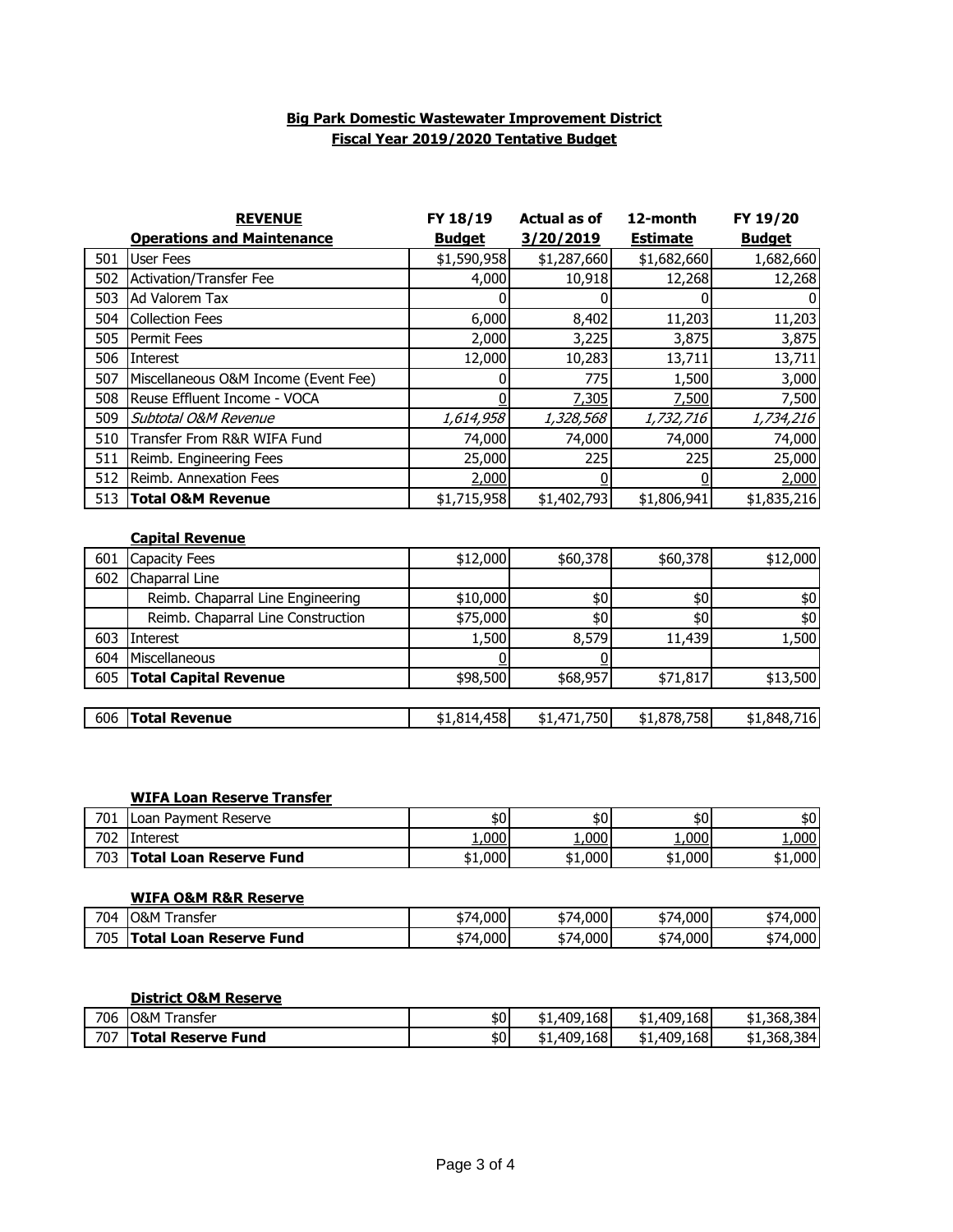### **Big Park Domestic Wastewater Improvement District Fiscal Year 2019/2020 Tentative Budget**

|     | <b>REVENUE</b>                       | FY 18/19      | <b>Actual as of</b> | 12-month        | FY 19/20      |
|-----|--------------------------------------|---------------|---------------------|-----------------|---------------|
|     | <b>Operations and Maintenance</b>    | <b>Budget</b> | 3/20/2019           | <b>Estimate</b> | <b>Budget</b> |
| 501 | <b>User Fees</b>                     | \$1,590,958   | \$1,287,660         | \$1,682,660     | 1,682,660     |
| 502 | <b>Activation/Transfer Fee</b>       | 4,000         | 10,918              | 12,268          | 12,268        |
| 503 | Ad Valorem Tax                       | 0             |                     |                 |               |
| 504 | <b>Collection Fees</b>               | 6,000         | 8,402               | 11,203          | 11,203        |
| 505 | Permit Fees                          | 2,000         | 3,225               | 3,875           | 3,875         |
| 506 | Interest                             | 12,000        | 10,283              | 13,711          | 13,711        |
| 507 | Miscellaneous O&M Income (Event Fee) | O             | 775                 | 1,500           | 3,000         |
| 508 | Reuse Effluent Income - VOCA         | n             | 7,305               | 7,500           | 7,500         |
| 509 | Subtotal O&M Revenue                 | 1,614,958     | 1,328,568           | 1,732,716       | 1,734,216     |
| 510 | Transfer From R&R WIFA Fund          | 74,000        | 74,000              | 74,000          | 74,000        |
| 511 | Reimb. Engineering Fees              | 25,000        | 225                 | 225             | 25,000        |
| 512 | Reimb. Annexation Fees               | 2,000         |                     |                 | 2,000         |
| 513 | <b>Total O&amp;M Revenue</b>         | \$1,715,958   | \$1,402,793         | \$1,806,941     | \$1,835,216   |
|     | <b>Capital Revenue</b>               |               |                     |                 |               |
| 601 | Capacity Fees                        | \$12,000      | \$60,378            | \$60,378        | \$12,000      |
| 602 | Chaparral Line                       |               |                     |                 |               |
|     | Reimb. Chaparral Line Engineering    | \$10,000      | \$0                 | \$0             | \$0           |
|     | Reimb. Chaparral Line Construction   | \$75,000      | 40                  | \$0             | $$0$$         |
| 603 | Interest                             | 1,500         | 8,579               | 11,439          | 1,500         |
| 604 | Miscellaneous                        | O             | O                   |                 |               |
| 605 | <b>Total Capital Revenue</b>         | \$98,500      | \$68,957            | \$71,817        | \$13,500      |

| 606 | <b>Total Revenue</b> | \$1.814.458 | ا 750.<br>471<br>\$1.47 | \$1,878,758 | 716I<br>\$1,848,, |
|-----|----------------------|-------------|-------------------------|-------------|-------------------|
|     |                      |             |                         |             |                   |

### **WIFA Loan Reserve Transfer**

| 701<br>oan      | <b>Payment Reserve</b>  | \$0     | \$0     | \$0     | \$0     |
|-----------------|-------------------------|---------|---------|---------|---------|
| 702<br>Interest |                         | 1,000   | 1,000   | 1,000   | 1,000   |
| 703             | Total Loan Reserve Fund | \$1,000 | \$1,000 | \$1,000 | \$1,000 |

### **WIFA O&M R&R Reserve**

| 704 | <u>ገ&amp;M</u><br>ransfer         | ا000،ا<br>\$74 | ا000<br>-<br>74<br>J/   | 74,000<br>$\mathbf{D}$ | .000'<br>J  |
|-----|-----------------------------------|----------------|-------------------------|------------------------|-------------|
| 705 | . nte'<br>Fund<br>Reserve<br>∟oan | .000<br>574    | $.000 \mathsf{I}$<br>74 | 000.1<br>74<br>DI.     | .000'<br>D/ |

#### **District O&M Reserve**

| 706 | <b>O&amp;M T</b><br>ransfer | \$0 | ا409،168.<br>- ተ<br>ב ב   | .409,168<br>\$1. | \$1,368,384 |
|-----|-----------------------------|-----|---------------------------|------------------|-------------|
| 707 | <b>Total Reserve Fund</b>   | \$0 | 409,168.<br>- ተ<br>'י ⊤ ⊄ | .409,168<br>\$1, | \$1,368,384 |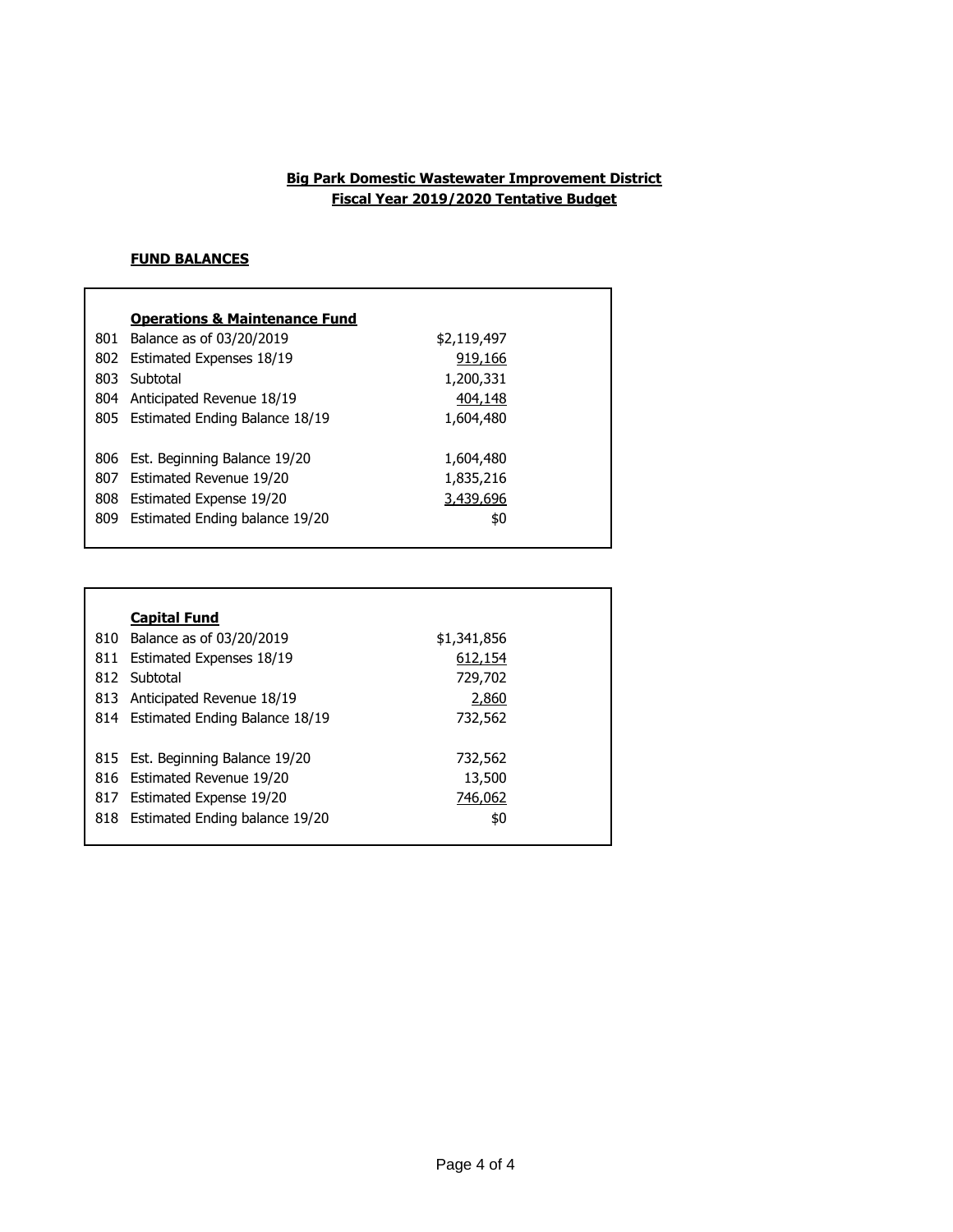## **Fiscal Year 2019/2020 Tentative Budget Big Park Domestic Wastewater Improvement District**

## **FUND BALANCES**

|     | <b>Operations &amp; Maintenance Fund</b> |             |
|-----|------------------------------------------|-------------|
| 801 | Balance as of 03/20/2019                 | \$2,119,497 |
| 802 | <b>Estimated Expenses 18/19</b>          | 919,166     |
| 803 | Subtotal                                 | 1,200,331   |
| 804 | Anticipated Revenue 18/19                | 404,148     |
|     | 805 Estimated Ending Balance 18/19       | 1,604,480   |
|     |                                          |             |
|     | 806 Est. Beginning Balance 19/20         | 1,604,480   |
| 807 | Estimated Revenue 19/20                  | 1,835,216   |
| 808 | Estimated Expense 19/20                  | 3,439,696   |
| 809 | Estimated Ending balance 19/20           | \$0         |
|     |                                          |             |

|     | <b>Capital Fund</b>              |             |  |
|-----|----------------------------------|-------------|--|
| 810 | Balance as of 03/20/2019         | \$1,341,856 |  |
| 811 | Estimated Expenses 18/19         | 612,154     |  |
| 812 | Subtotal                         | 729,702     |  |
| 813 | Anticipated Revenue 18/19        | 2,860       |  |
| 814 | Estimated Ending Balance 18/19   | 732,562     |  |
|     |                                  |             |  |
|     | 815 Est. Beginning Balance 19/20 | 732,562     |  |
|     | 816 Estimated Revenue 19/20      | 13,500      |  |
| 817 | Estimated Expense 19/20          | 746,062     |  |
| 818 | Estimated Ending balance 19/20   | \$0         |  |
|     |                                  |             |  |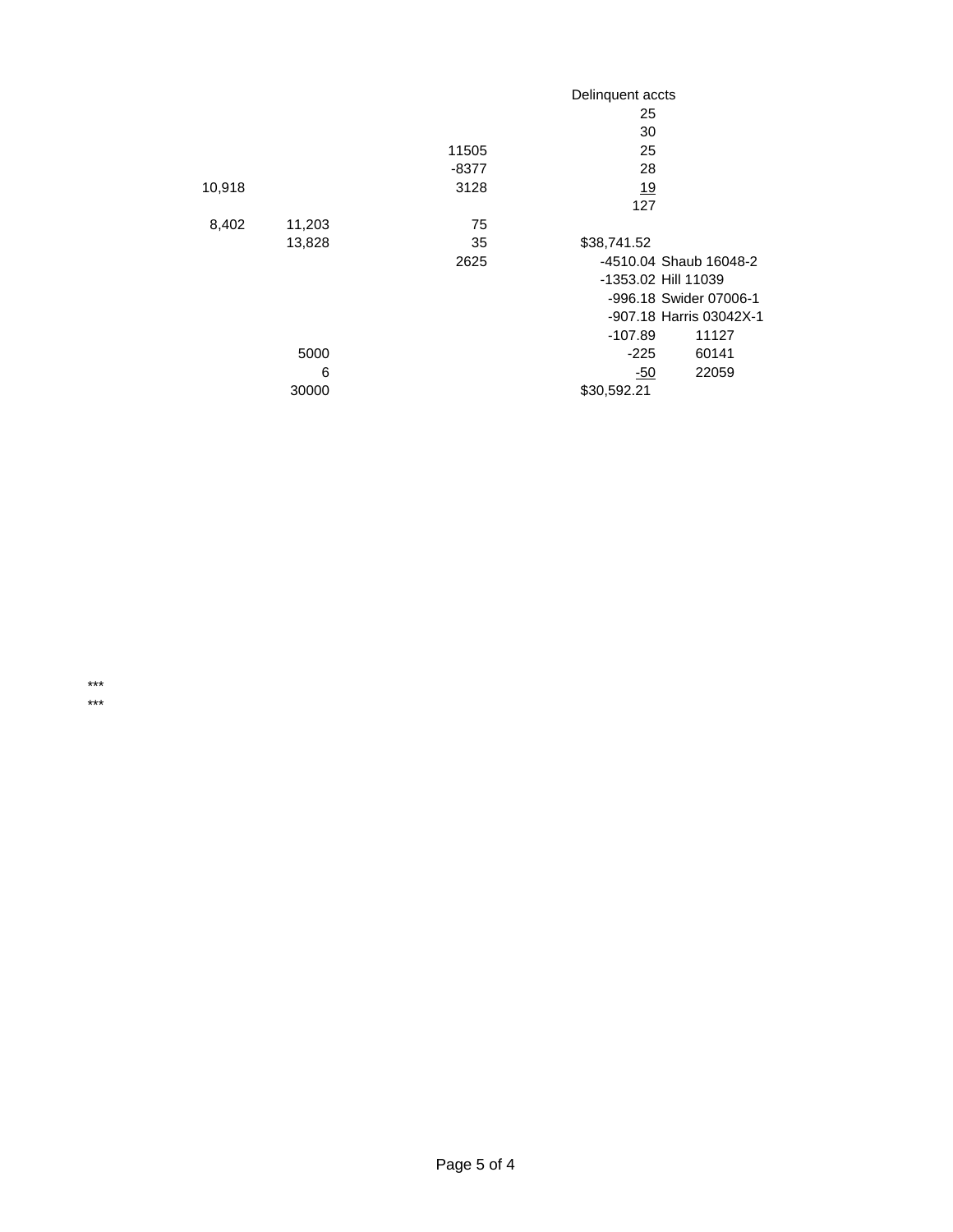|        |        |       | Delinquent accts |                         |
|--------|--------|-------|------------------|-------------------------|
|        |        |       | 25               |                         |
|        |        |       | 30               |                         |
|        |        | 11505 | 25               |                         |
|        |        | -8377 | 28               |                         |
| 10,918 |        | 3128  | <u>19</u>        |                         |
|        |        |       | 127              |                         |
| 8,402  | 11,203 | 75    |                  |                         |
|        | 13,828 | 35    | \$38,741.52      |                         |
|        |        | 2625  |                  | -4510.04 Shaub 16048-2  |
|        |        |       |                  | -1353.02 Hill 11039     |
|        |        |       |                  | -996.18 Swider 07006-1  |
|        |        |       |                  | -907.18 Harris 03042X-1 |
|        |        |       | $-107.89$        | 11127                   |
|        | 5000   |       | $-225$           | 60141                   |
|        | 6      |       | -50              | 22059                   |
|        | 30000  |       | \$30,592.21      |                         |

\*\*\* \*\*\*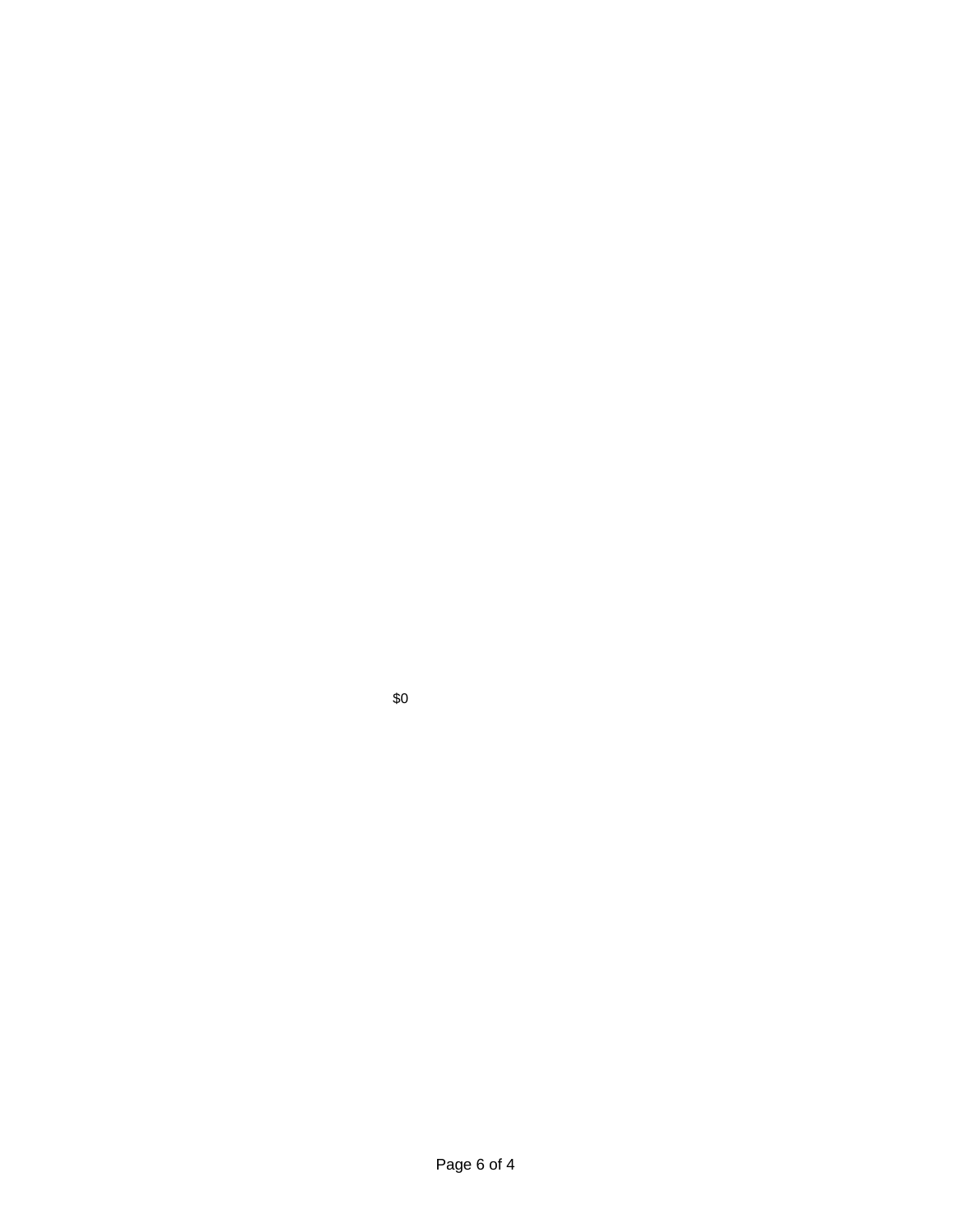\$0